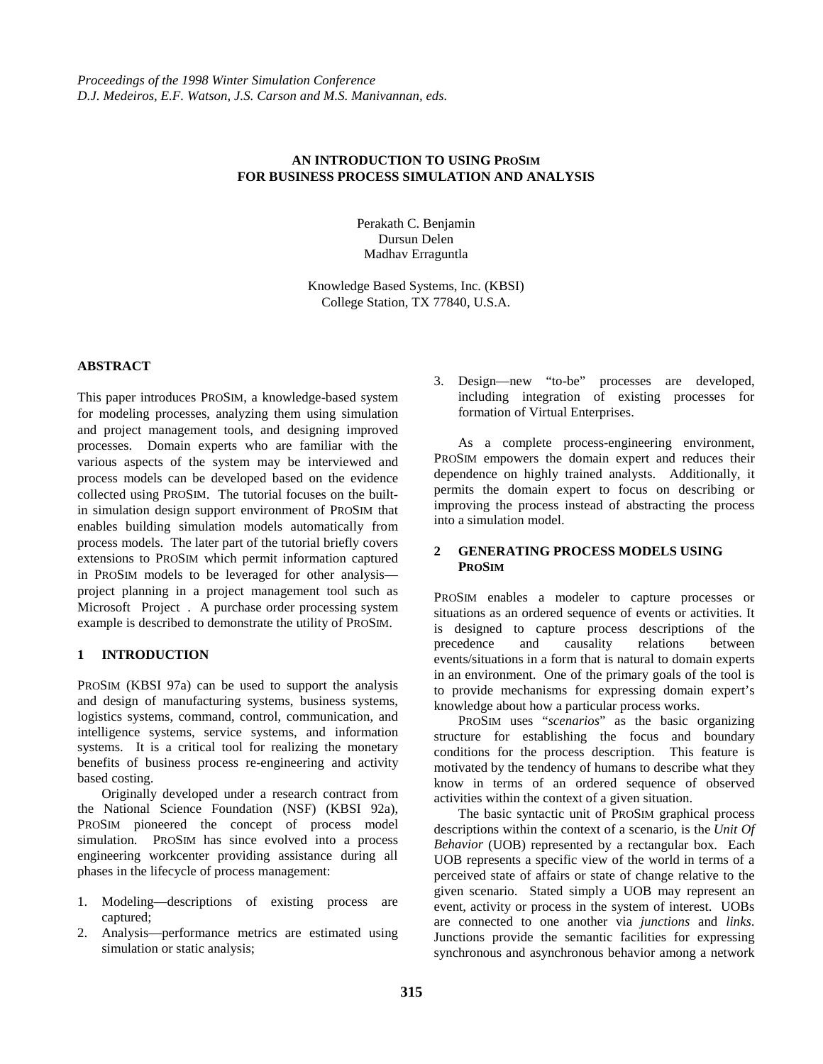### **AN INTRODUCTION TO USING PROSIM FOR BUSINESS PROCESS SIMULATION AND ANALYSIS**

Perakath C. Benjamin Dursun Delen Madhav Erraguntla

Knowledge Based Systems, Inc. (KBSI) College Station, TX 77840, U.S.A.

#### **ABSTRACT**

This paper introduces PROSIM, a knowledge-based system for modeling processes, analyzing them using simulation and project management tools, and designing improved processes. Domain experts who are familiar with the various aspects of the system may be interviewed and process models can be developed based on the evidence collected using PROSIM. The tutorial focuses on the builtin simulation design support environment of PROSIM that enables building simulation models automatically from process models. The later part of the tutorial briefly covers extensions to PROSIM which permit information captured in PROSIM models to be leveraged for other analysis project planning in a project management tool such as Microsoft<sup>®</sup> Project<sup>™</sup>. A purchase order processing system example is described to demonstrate the utility of PROSIM.

#### **1 INTRODUCTION**

PROSIM (KBSI 97a) can be used to support the analysis and design of manufacturing systems, business systems, logistics systems, command, control, communication, and intelligence systems, service systems, and information systems. It is a critical tool for realizing the monetary benefits of business process re-engineering and activity based costing.

Originally developed under a research contract from the National Science Foundation (NSF) (KBSI 92a), PROSIM pioneered the concept of process model simulation. PROSIM has since evolved into a process engineering workcenter providing assistance during all phases in the lifecycle of process management:

- 1. Modeling—descriptions of existing process are captured;
- 2. Analysis—performance metrics are estimated using simulation or static analysis;

3. Design—new "to-be" processes are developed, including integration of existing processes for formation of Virtual Enterprises.

As a complete process-engineering environment, PROSIM empowers the domain expert and reduces their dependence on highly trained analysts. Additionally, it permits the domain expert to focus on describing or improving the process instead of abstracting the process into a simulation model.

#### **2 GENERATING PROCESS MODELS USING PROSIM**

PROSIM enables a modeler to capture processes or situations as an ordered sequence of events or activities. It is designed to capture process descriptions of the precedence and causality relations between precedence and causality relations between events/situations in a form that is natural to domain experts in an environment. One of the primary goals of the tool is to provide mechanisms for expressing domain expert's knowledge about how a particular process works.

PROSIM uses "*scenarios*" as the basic organizing structure for establishing the focus and boundary conditions for the process description. This feature is motivated by the tendency of humans to describe what they know in terms of an ordered sequence of observed activities within the context of a given situation.

The basic syntactic unit of PROSIM graphical process descriptions within the context of a scenario, is the *Unit Of Behavior* (UOB) represented by a rectangular box. Each UOB represents a specific view of the world in terms of a perceived state of affairs or state of change relative to the given scenario. Stated simply a UOB may represent an event, activity or process in the system of interest. UOBs are connected to one another via *junctions* and *links*. Junctions provide the semantic facilities for expressing synchronous and asynchronous behavior among a network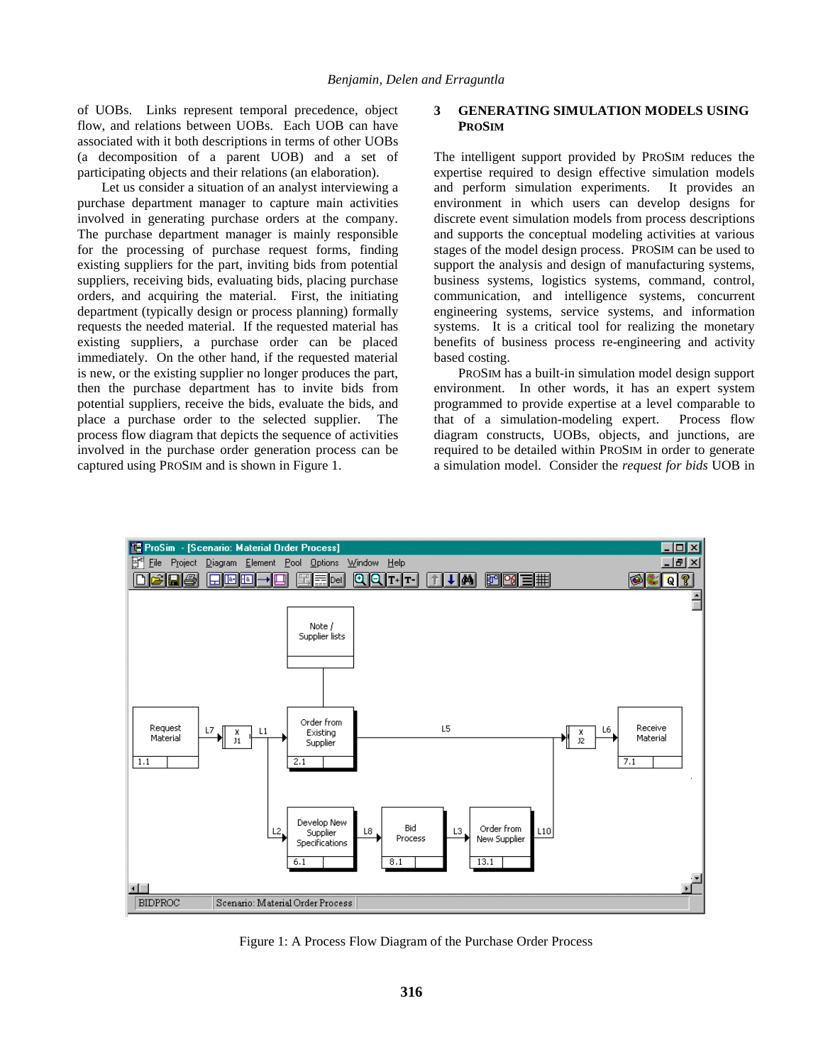of UOBs. Links represent temporal precedence, object flow, and relations between UOBs. Each UOB can have associated with it both descriptions in terms of other UOBs (a decomposition of a parent UOB) and a set of participating objects and their relations (an elaboration).

Let us consider a situation of an analyst interviewing a purchase department manager to capture main activities involved in generating purchase orders at the company. The purchase department manager is mainly responsible for the processing of purchase request forms, finding existing suppliers for the part, inviting bids from potential suppliers, receiving bids, evaluating bids, placing purchase orders, and acquiring the material. First, the initiating department (typically design or process planning) formally requests the needed material. If the requested material has existing suppliers, a purchase order can be placed immediately. On the other hand, if the requested material is new, or the existing supplier no longer produces the part, then the purchase department has to invite bids from potential suppliers, receive the bids, evaluate the bids, and place a purchase order to the selected supplier. The process flow diagram that depicts the sequence of activities involved in the purchase order generation process can be captured using PROSIM and is shown in Figure 1.

# **3 GENERATING SIMULATION MODELS USING PROSIM**

The intelligent support provided by PROSIM reduces the expertise required to design effective simulation models and perform simulation experiments. It provides an environment in which users can develop designs for discrete event simulation models from process descriptions and supports the conceptual modeling activities at various stages of the model design process. PROSIM can be used to support the analysis and design of manufacturing systems, business systems, logistics systems, command, control, communication, and intelligence systems, concurrent engineering systems, service systems, and information systems. It is a critical tool for realizing the monetary benefits of business process re-engineering and activity based costing.

PROSIM has a built-in simulation model design support environment. In other words, it has an expert system programmed to provide expertise at a level comparable to that of a simulation-modeling expert. Process flow diagram constructs, UOBs, objects, and junctions, are required to be detailed within PROSIM in order to generate a simulation model. Consider the *request for bids* UOB in



Figure 1: A Process Flow Diagram of the Purchase Order Process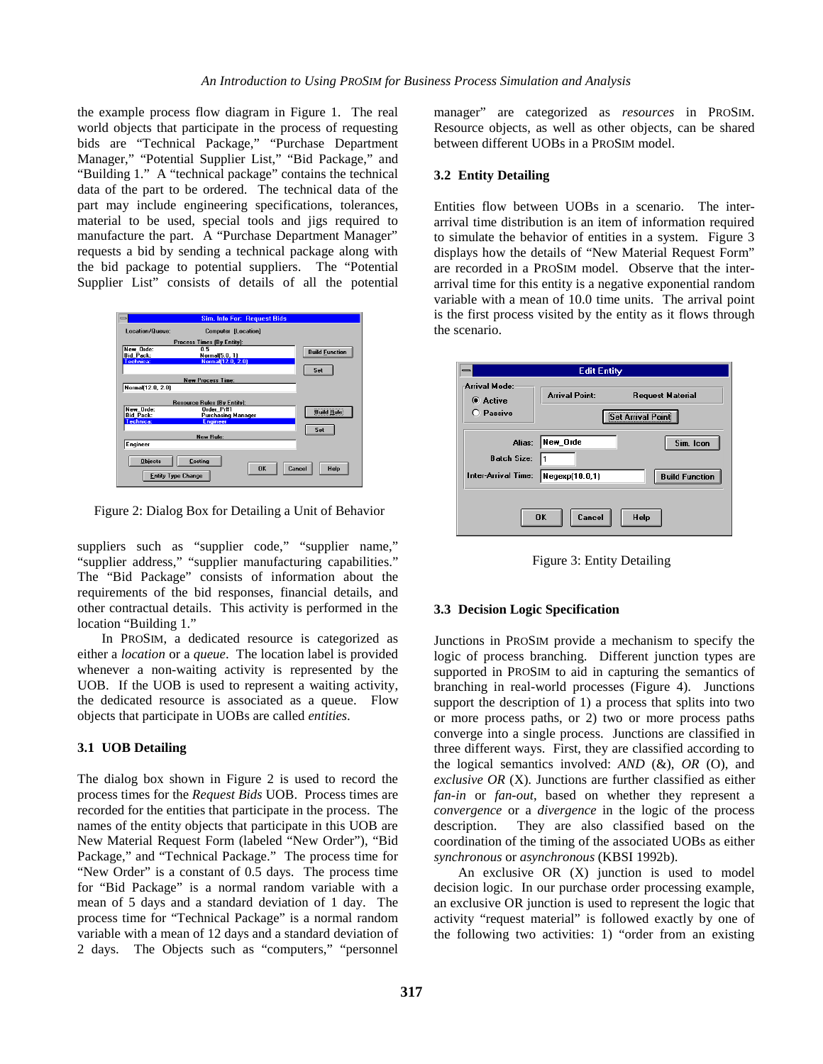the example process flow diagram in Figure 1. The real world objects that participate in the process of requesting bids are "Technical Package," "Purchase Department Manager," "Potential Supplier List," "Bid Package," and "Building 1." A "technical package" contains the technical data of the part to be ordered. The technical data of the part may include engineering specifications, tolerances, material to be used, special tools and jigs required to manufacture the part. A "Purchase Department Manager" requests a bid by sending a technical package along with the bid package to potential suppliers. The "Potential Supplier List" consists of details of all the potential

|                   | <b>Sim. Info For: Request Bids</b>                |                       |
|-------------------|---------------------------------------------------|-----------------------|
| Location/Queue:   | <b>Computer [Location]</b>                        |                       |
|                   |                                                   |                       |
|                   | <b>Process Times (By Entity):</b>                 |                       |
| New Orde:         | n 5                                               | <b>Build Eunction</b> |
| <b>Bid Pack:</b>  | Normal(5.0, 1)                                    |                       |
| Technica:         | Normal[12.0, 2.0]                                 |                       |
|                   |                                                   | Set                   |
|                   | <b>New Process Time:</b>                          |                       |
| Normal(12.0, 2.0) |                                                   |                       |
|                   | <b>Resource Rules (By Entity):</b>                |                       |
| New Orde:         | Order Pr#1                                        | <b>Build Rule</b>     |
| <b>Bid Pack:</b>  | <b>Purchasing Manager</b>                         |                       |
| Technica:         | <b>Engineer</b>                                   |                       |
|                   |                                                   | Set                   |
|                   | <b>New Rule:</b>                                  |                       |
| Engineer          |                                                   |                       |
| <b>Objects</b>    | Costing<br><b>OK</b><br><b>Entity Type Change</b> | Cancel<br>Help        |

Figure 2: Dialog Box for Detailing a Unit of Behavior

suppliers such as "supplier code," "supplier name," "supplier address," "supplier manufacturing capabilities." The "Bid Package" consists of information about the requirements of the bid responses, financial details, and other contractual details. This activity is performed in the location "Building 1."

In PROSIM, a dedicated resource is categorized as either a *location* or a *queue*. The location label is provided whenever a non-waiting activity is represented by the UOB. If the UOB is used to represent a waiting activity, the dedicated resource is associated as a queue. Flow objects that participate in UOBs are called *entities*.

# **3.1 UOB Detailing**

The dialog box shown in Figure 2 is used to record the process times for the *Request Bids* UOB. Process times are recorded for the entities that participate in the process. The names of the entity objects that participate in this UOB are New Material Request Form (labeled "New Order"), "Bid Package," and "Technical Package." The process time for "New Order" is a constant of 0.5 days. The process time for "Bid Package" is a normal random variable with a mean of 5 days and a standard deviation of 1 day. The process time for "Technical Package" is a normal random variable with a mean of 12 days and a standard deviation of 2 days. The Objects such as "computers," "personnel manager" are categorized as *resources* in PROSIM. Resource objects, as well as other objects, can be shared between different UOBs in a PROSIM model.

# **3.2 Entity Detailing**

Entities flow between UOBs in a scenario. The interarrival time distribution is an item of information required to simulate the behavior of entities in a system. Figure 3 displays how the details of "New Material Request Form" are recorded in a PROSIM model. Observe that the interarrival time for this entity is a negative exponential random variable with a mean of 10.0 time units. The arrival point is the first process visited by the entity as it flows through the scenario.

| <b>Edit Entity</b>                                       |                                            |                                    |  |
|----------------------------------------------------------|--------------------------------------------|------------------------------------|--|
| Arrival Mode:<br>C Active<br>○ Passive                   | <b>Arrival Point:</b><br>Set Arrival Point | <b>Request Material</b>            |  |
| <b>Batch Size:</b><br>Inter-Arrival Time: Negexp(10.0,1) | Alias: New_Orde                            | Sim. Icon<br><b>Build Function</b> |  |
| <b>OK</b><br>Help<br>Cancel                              |                                            |                                    |  |

Figure 3: Entity Detailing

# **3.3 Decision Logic Specification**

Junctions in PROSIM provide a mechanism to specify the logic of process branching. Different junction types are supported in PROSIM to aid in capturing the semantics of branching in real-world processes (Figure 4). Junctions support the description of 1) a process that splits into two or more process paths, or 2) two or more process paths converge into a single process. Junctions are classified in three different ways. First, they are classified according to the logical semantics involved: *AND* (&), *OR* (O), and *exclusive OR* (X)*.* Junctions are further classified as either *fan-in* or *fan-out*, based on whether they represent a *convergence* or a *divergence* in the logic of the process description. They are also classified based on the coordination of the timing of the associated UOBs as either *synchronous* or *asynchronous* (KBSI 1992b).

An exclusive OR (X) junction is used to model decision logic. In our purchase order processing example, an exclusive OR junction is used to represent the logic that activity "request material" is followed exactly by one of the following two activities: 1) "order from an existing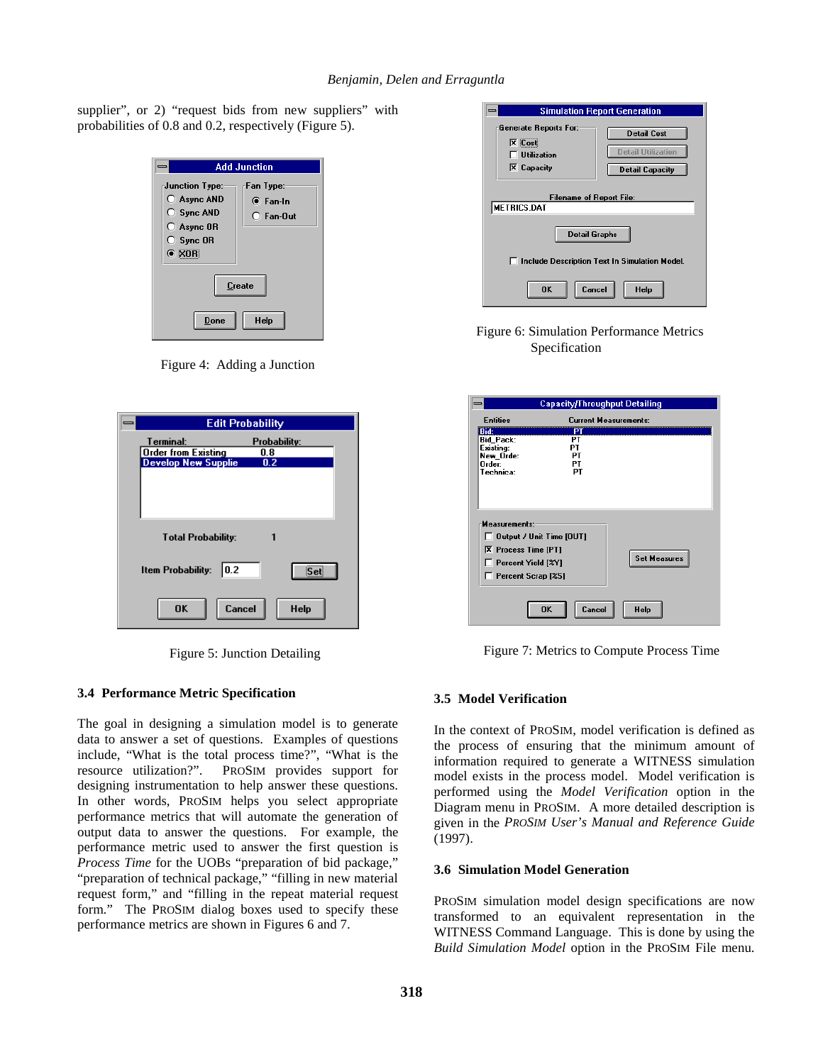supplier", or 2) "request bids from new suppliers" with probabilities of 0.8 and 0.2, respectively (Figure 5).

| <b>Add Junction</b>                                                                                                |                                                    |  |  |  |
|--------------------------------------------------------------------------------------------------------------------|----------------------------------------------------|--|--|--|
| Junction Type:<br>$\bigcirc$ Async AND<br>◯ Sync AND<br>$\bigcirc$ Async OR<br>$\bigcirc$ Sync OR<br>$\bullet$ XOR | Fan Type:<br>$\bullet$ Fan-In<br>$\bigcap$ Fan-Out |  |  |  |
| <b>Create</b>                                                                                                      |                                                    |  |  |  |
| Help<br>Done                                                                                                       |                                                    |  |  |  |

Figure 4: Adding a Junction

| <b>Edit Probability</b>                                                |  |  |
|------------------------------------------------------------------------|--|--|
| Terminal:<br>Probability:                                              |  |  |
| <b>Order from Existing</b><br>0.8<br><b>Develop New Supplie</b><br>0.2 |  |  |
|                                                                        |  |  |
|                                                                        |  |  |
|                                                                        |  |  |
|                                                                        |  |  |
| <b>Total Probability:</b>                                              |  |  |
| Set<br>10.2<br>Item Probability:                                       |  |  |
| <b>Help</b><br>Cancel<br><b>OK</b>                                     |  |  |

Figure 5: Junction Detailing

#### **3.4 Performance Metric Specification**

The goal in designing a simulation model is to generate data to answer a set of questions. Examples of questions include, "What is the total process time?", "What is the resource utilization?". PROSIM provides support for designing instrumentation to help answer these questions. In other words, PROSIM helps you select appropriate performance metrics that will automate the generation of output data to answer the questions. For example, the performance metric used to answer the first question is *Process Time* for the UOBs "preparation of bid package," "preparation of technical package," "filling in new material request form," and "filling in the repeat material request form." The PROSIM dialog boxes used to specify these performance metrics are shown in Figures 6 and 7.

| <b>Simulation Report Generation</b>                                                                      |                                                                           |  |  |  |
|----------------------------------------------------------------------------------------------------------|---------------------------------------------------------------------------|--|--|--|
| Generate Reports For:<br>$\overline{\mathbf{X}}$ Cost<br>Utilization<br>$\overline{\mathsf{x}}$ Capacity | <b>Detail Cost</b><br><b>Detail Utilization</b><br><b>Detail Capacity</b> |  |  |  |
| <b>Filename of Report File:</b><br><b>METRICS.DAT</b>                                                    |                                                                           |  |  |  |
| Detail Graphs                                                                                            |                                                                           |  |  |  |
| Include Description Text In Simulation Model.                                                            |                                                                           |  |  |  |
| Cancel<br>OK<br>Help                                                                                     |                                                                           |  |  |  |

Figure 6: Simulation Performance Metrics Specification

| <b>Capacity/Throughput Detailing</b>                                                                                       |                                  |                     |
|----------------------------------------------------------------------------------------------------------------------------|----------------------------------|---------------------|
| <b>Entities</b>                                                                                                            | <b>Current Measurements:</b>     |                     |
| <b>Bid:</b><br><b>Bid Pack:</b><br>Existing:<br>New_Orde:<br>Order:<br>Technica:                                           | РT<br>РT<br>PТ<br>PТ<br>PТ<br>PT |                     |
| <b>Measurements:</b><br>Output / Unit Time [OUT]<br><b>X</b> Process Time [PT]<br>Percent Yield [%Y]<br>Percent Scrap [%S] |                                  | <b>Set Measures</b> |
|                                                                                                                            | <b>OK</b><br>Cancel              | Help                |

Figure 7: Metrics to Compute Process Time

#### **3.5 Model Verification**

In the context of PROSIM, model verification is defined as the process of ensuring that the minimum amount of information required to generate a WITNESS simulation model exists in the process model. Model verification is performed using the *Model Verification* option in the Diagram menu in PROSIM. A more detailed description is given in the *PROSIM User's Manual and Reference Guide* (1997).

#### **3.6 Simulation Model Generation**

PROSIM simulation model design specifications are now transformed to an equivalent representation in the WITNESS Command Language. This is done by using the *Build Simulation Model* option in the PROSIM File menu.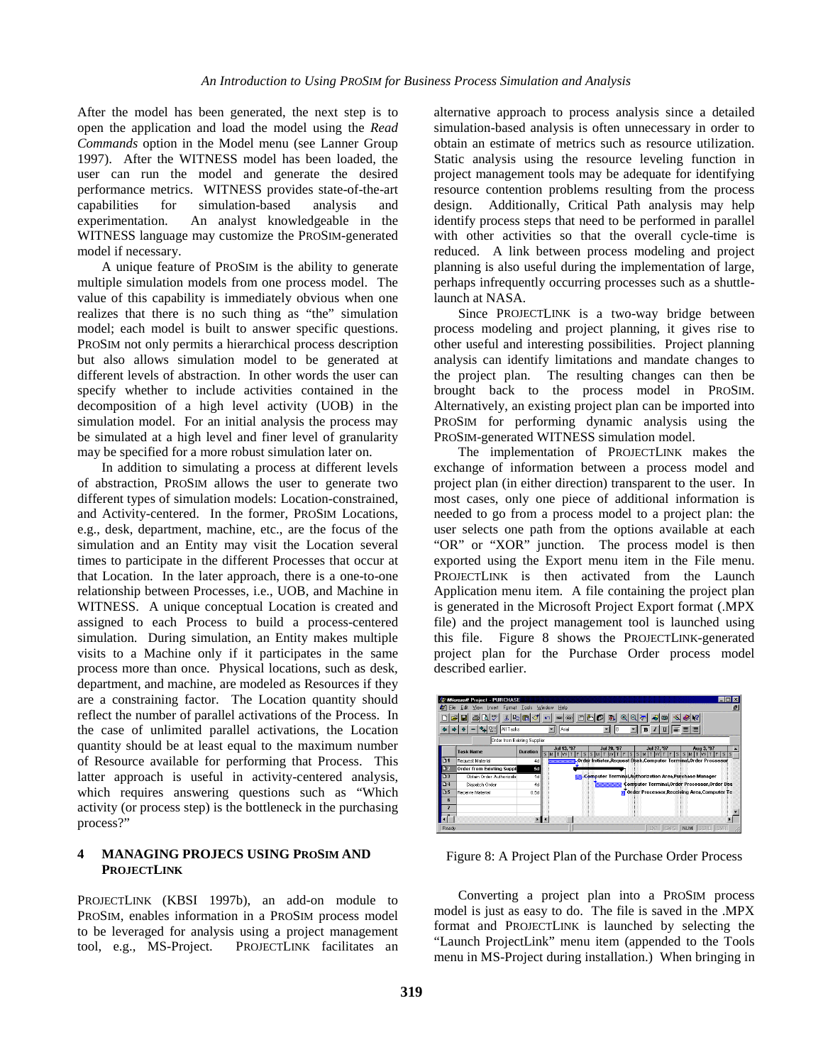After the model has been generated, the next step is to open the application and load the model using the *Read Commands* option in the Model menu (see Lanner Group 1997). After the WITNESS model has been loaded, the user can run the model and generate the desired performance metrics. WITNESS provides state-of-the-art capabilities for simulation-based analysis and experimentation. An analyst knowledgeable in the WITNESS language may customize the PROSIM-generated model if necessary.

A unique feature of PROSIM is the ability to generate multiple simulation models from one process model. The value of this capability is immediately obvious when one realizes that there is no such thing as "the" simulation model; each model is built to answer specific questions. PROSIM not only permits a hierarchical process description but also allows simulation model to be generated at different levels of abstraction. In other words the user can specify whether to include activities contained in the decomposition of a high level activity (UOB) in the simulation model. For an initial analysis the process may be simulated at a high level and finer level of granularity may be specified for a more robust simulation later on.

In addition to simulating a process at different levels of abstraction, PROSIM allows the user to generate two different types of simulation models: Location-constrained, and Activity-centered. In the former, PROSIM Locations, e.g., desk, department, machine, etc., are the focus of the simulation and an Entity may visit the Location several times to participate in the different Processes that occur at that Location. In the later approach, there is a one-to-one relationship between Processes, i.e., UOB, and Machine in WITNESS. A unique conceptual Location is created and assigned to each Process to build a process-centered simulation. During simulation, an Entity makes multiple visits to a Machine only if it participates in the same process more than once. Physical locations, such as desk, department, and machine, are modeled as Resources if they are a constraining factor. The Location quantity should reflect the number of parallel activations of the Process. In the case of unlimited parallel activations, the Location quantity should be at least equal to the maximum number of Resource available for performing that Process. This latter approach is useful in activity-centered analysis, which requires answering questions such as "Which activity (or process step) is the bottleneck in the purchasing process?"

# **4 MANAGING PROJECS USING PROSIM AND PROJECTLINK**

PROJECTLINK (KBSI 1997b), an add-on module to PROSIM, enables information in a PROSIM process model to be leveraged for analysis using a project management tool, e.g., MS-Project. PROJECTLINK facilitates an

alternative approach to process analysis since a detailed simulation-based analysis is often unnecessary in order to obtain an estimate of metrics such as resource utilization. Static analysis using the resource leveling function in project management tools may be adequate for identifying resource contention problems resulting from the process design. Additionally, Critical Path analysis may help identify process steps that need to be performed in parallel with other activities so that the overall cycle-time is reduced. A link between process modeling and project planning is also useful during the implementation of large, perhaps infrequently occurring processes such as a shuttlelaunch at NASA.

Since PROJECTLINK is a two-way bridge between process modeling and project planning, it gives rise to other useful and interesting possibilities. Project planning analysis can identify limitations and mandate changes to the project plan. The resulting changes can then be brought back to the process model in PROSIM. Alternatively, an existing project plan can be imported into PROSIM for performing dynamic analysis using the PROSIM-generated WITNESS simulation model.

The implementation of PROJECTLINK makes the exchange of information between a process model and project plan (in either direction) transparent to the user. In most cases, only one piece of additional information is needed to go from a process model to a project plan: the user selects one path from the options available at each "OR" or "XOR" junction. The process model is then exported using the Export menu item in the File menu. PROJECTLINK is then activated from the Launch Application menu item. A file containing the project plan is generated in the Microsoft Project Export format (.MPX file) and the project management tool is launched using this file. Figure 8 shows the PROJECTLINK-generated project plan for the Purchase Order process model described earlier.



Figure 8: A Project Plan of the Purchase Order Process

Converting a project plan into a PROSIM process model is just as easy to do. The file is saved in the .MPX format and PROJECTLINK is launched by selecting the "Launch ProjectLink" menu item (appended to the Tools menu in MS-Project during installation.) When bringing in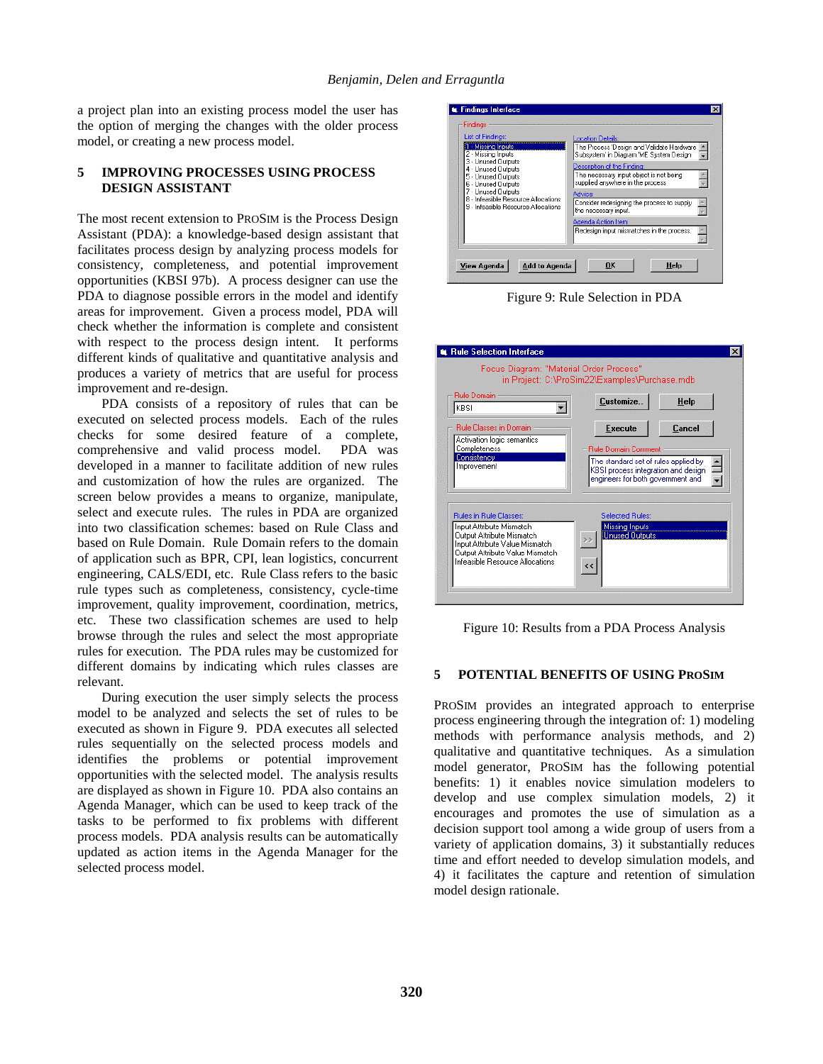a project plan into an existing process model the user has the option of merging the changes with the older process model, or creating a new process model.

#### **5 IMPROVING PROCESSES USING PROCESS DESIGN ASSISTANT**

The most recent extension to PROSIM is the Process Design Assistant (PDA): a knowledge-based design assistant that facilitates process design by analyzing process models for consistency, completeness, and potential improvement opportunities (KBSI 97b). A process designer can use the PDA to diagnose possible errors in the model and identify areas for improvement. Given a process model, PDA will check whether the information is complete and consistent with respect to the process design intent. It performs different kinds of qualitative and quantitative analysis and produces a variety of metrics that are useful for process improvement and re-design.

PDA consists of a repository of rules that can be executed on selected process models. Each of the rules checks for some desired feature of a complete, comprehensive and valid process model. PDA was developed in a manner to facilitate addition of new rules and customization of how the rules are organized. The screen below provides a means to organize, manipulate, select and execute rules. The rules in PDA are organized into two classification schemes: based on Rule Class and based on Rule Domain. Rule Domain refers to the domain of application such as BPR, CPI, lean logistics, concurrent engineering, CALS/EDI, etc. Rule Class refers to the basic rule types such as completeness, consistency, cycle-time improvement, quality improvement, coordination, metrics, etc. These two classification schemes are used to help browse through the rules and select the most appropriate rules for execution. The PDA rules may be customized for different domains by indicating which rules classes are relevant.

During execution the user simply selects the process model to be analyzed and selects the set of rules to be executed as shown in Figure 9. PDA executes all selected rules sequentially on the selected process models and identifies the problems or potential improvement opportunities with the selected model. The analysis results are displayed as shown in Figure 10. PDA also contains an Agenda Manager, which can be used to keep track of the tasks to be performed to fix problems with different process models. PDA analysis results can be automatically updated as action items in the Agenda Manager for the selected process model.



Figure 9: Rule Selection in PDA



Figure 10: Results from a PDA Process Analysis

#### **5 POTENTIAL BENEFITS OF USING PROSIM**

PROSIM provides an integrated approach to enterprise process engineering through the integration of: 1) modeling methods with performance analysis methods, and 2) qualitative and quantitative techniques. As a simulation model generator, PROSIM has the following potential benefits: 1) it enables novice simulation modelers to develop and use complex simulation models, 2) it encourages and promotes the use of simulation as a decision support tool among a wide group of users from a variety of application domains, 3) it substantially reduces time and effort needed to develop simulation models, and 4) it facilitates the capture and retention of simulation model design rationale.